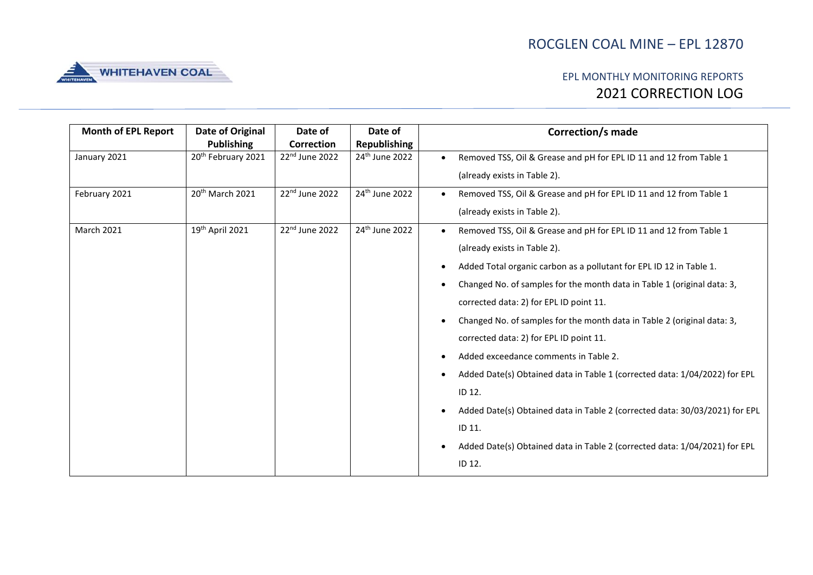

| <b>Month of EPL Report</b> | Date of Original               | Date of                    | Date of                    | <b>Correction/s made</b>                                                    |
|----------------------------|--------------------------------|----------------------------|----------------------------|-----------------------------------------------------------------------------|
|                            | <b>Publishing</b>              | Correction                 | <b>Republishing</b>        |                                                                             |
| January 2021               | 20 <sup>th</sup> February 2021 | 22 <sup>nd</sup> June 2022 | 24 <sup>th</sup> June 2022 | Removed TSS, Oil & Grease and pH for EPL ID 11 and 12 from Table 1          |
|                            |                                |                            |                            | (already exists in Table 2).                                                |
| February 2021              | 20 <sup>th</sup> March 2021    | 22nd June 2022             | 24 <sup>th</sup> June 2022 | Removed TSS, Oil & Grease and pH for EPL ID 11 and 12 from Table 1          |
|                            |                                |                            |                            | (already exists in Table 2).                                                |
| <b>March 2021</b>          | 19th April 2021                | 22nd June 2022             | 24th June 2022             | Removed TSS, Oil & Grease and pH for EPL ID 11 and 12 from Table 1          |
|                            |                                |                            |                            | (already exists in Table 2).                                                |
|                            |                                |                            |                            | Added Total organic carbon as a pollutant for EPL ID 12 in Table 1.         |
|                            |                                |                            |                            | Changed No. of samples for the month data in Table 1 (original data: 3,     |
|                            |                                |                            |                            | corrected data: 2) for EPL ID point 11.                                     |
|                            |                                |                            |                            | Changed No. of samples for the month data in Table 2 (original data: 3,     |
|                            |                                |                            |                            | corrected data: 2) for EPL ID point 11.                                     |
|                            |                                |                            |                            | Added exceedance comments in Table 2.                                       |
|                            |                                |                            |                            | Added Date(s) Obtained data in Table 1 (corrected data: 1/04/2022) for EPL  |
|                            |                                |                            |                            | ID 12.                                                                      |
|                            |                                |                            |                            | Added Date(s) Obtained data in Table 2 (corrected data: 30/03/2021) for EPL |
|                            |                                |                            |                            | ID 11.                                                                      |
|                            |                                |                            |                            | Added Date(s) Obtained data in Table 2 (corrected data: 1/04/2021) for EPL  |
|                            |                                |                            |                            | ID 12.                                                                      |
|                            |                                |                            |                            |                                                                             |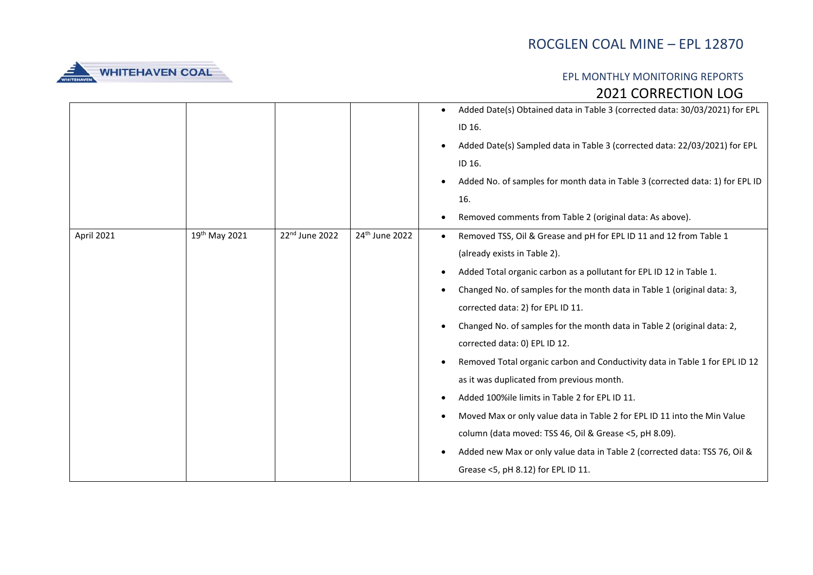

|            |               |                |                            | Added Date(s) Obtained data in Table 3 (corrected data: 30/03/2021) for EPL<br>ID 16.<br>Added Date(s) Sampled data in Table 3 (corrected data: 22/03/2021) for EPL<br>ID 16.<br>Added No. of samples for month data in Table 3 (corrected data: 1) for EPL ID<br>16.<br>Removed comments from Table 2 (original data: As above).                                                                                                                                                                                                                                                                                                                                                                                                                                                                                                                          |
|------------|---------------|----------------|----------------------------|------------------------------------------------------------------------------------------------------------------------------------------------------------------------------------------------------------------------------------------------------------------------------------------------------------------------------------------------------------------------------------------------------------------------------------------------------------------------------------------------------------------------------------------------------------------------------------------------------------------------------------------------------------------------------------------------------------------------------------------------------------------------------------------------------------------------------------------------------------|
| April 2021 | 19th May 2021 | 22nd June 2022 | 24 <sup>th</sup> June 2022 | Removed TSS, Oil & Grease and pH for EPL ID 11 and 12 from Table 1<br>$\bullet$<br>(already exists in Table 2).<br>Added Total organic carbon as a pollutant for EPL ID 12 in Table 1.<br>Changed No. of samples for the month data in Table 1 (original data: 3,<br>corrected data: 2) for EPL ID 11.<br>Changed No. of samples for the month data in Table 2 (original data: 2,<br>corrected data: 0) EPL ID 12.<br>Removed Total organic carbon and Conductivity data in Table 1 for EPL ID 12<br>as it was duplicated from previous month.<br>Added 100%ile limits in Table 2 for EPL ID 11.<br>Moved Max or only value data in Table 2 for EPL ID 11 into the Min Value<br>column (data moved: TSS 46, Oil & Grease <5, pH 8.09).<br>Added new Max or only value data in Table 2 (corrected data: TSS 76, Oil &<br>Grease <5, pH 8.12) for EPL ID 11. |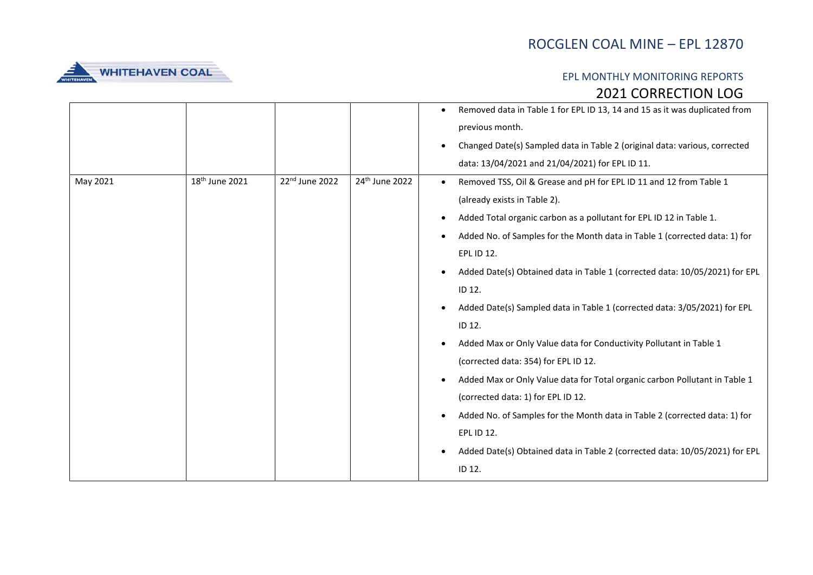

|          |                            |                |                            | Removed data in Table 1 for EPL ID 13, 14 and 15 as it was duplicated from<br>$\bullet$ |
|----------|----------------------------|----------------|----------------------------|-----------------------------------------------------------------------------------------|
|          |                            |                |                            | previous month.                                                                         |
|          |                            |                |                            | Changed Date(s) Sampled data in Table 2 (original data: various, corrected<br>$\bullet$ |
|          |                            |                |                            | data: 13/04/2021 and 21/04/2021) for EPL ID 11.                                         |
| May 2021 | 18 <sup>th</sup> June 2021 | 22nd June 2022 | 24 <sup>th</sup> June 2022 | Removed TSS, Oil & Grease and pH for EPL ID 11 and 12 from Table 1                      |
|          |                            |                |                            | (already exists in Table 2).                                                            |
|          |                            |                |                            | Added Total organic carbon as a pollutant for EPL ID 12 in Table 1.                     |
|          |                            |                |                            | Added No. of Samples for the Month data in Table 1 (corrected data: 1) for              |
|          |                            |                |                            | EPL ID 12.                                                                              |
|          |                            |                |                            | Added Date(s) Obtained data in Table 1 (corrected data: 10/05/2021) for EPL             |
|          |                            |                |                            | ID 12.                                                                                  |
|          |                            |                |                            | Added Date(s) Sampled data in Table 1 (corrected data: 3/05/2021) for EPL               |
|          |                            |                |                            | ID 12.                                                                                  |
|          |                            |                |                            | Added Max or Only Value data for Conductivity Pollutant in Table 1                      |
|          |                            |                |                            | (corrected data: 354) for EPL ID 12.                                                    |
|          |                            |                |                            | Added Max or Only Value data for Total organic carbon Pollutant in Table 1              |
|          |                            |                |                            | (corrected data: 1) for EPL ID 12.                                                      |
|          |                            |                |                            | Added No. of Samples for the Month data in Table 2 (corrected data: 1) for              |
|          |                            |                |                            | EPL ID 12.                                                                              |
|          |                            |                |                            | Added Date(s) Obtained data in Table 2 (corrected data: 10/05/2021) for EPL             |
|          |                            |                |                            | ID 12.                                                                                  |
|          |                            |                |                            |                                                                                         |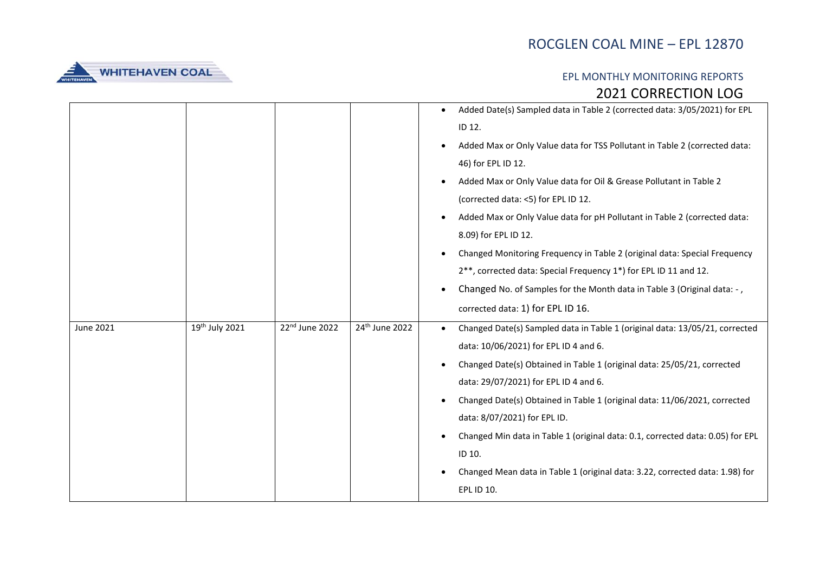

|           |                            |                            |                            | Added Date(s) Sampled data in Table 2 (corrected data: 3/05/2021) for EPL                |
|-----------|----------------------------|----------------------------|----------------------------|------------------------------------------------------------------------------------------|
|           |                            |                            |                            | ID 12.                                                                                   |
|           |                            |                            |                            | Added Max or Only Value data for TSS Pollutant in Table 2 (corrected data:               |
|           |                            |                            |                            | 46) for EPL ID 12.                                                                       |
|           |                            |                            |                            | Added Max or Only Value data for Oil & Grease Pollutant in Table 2                       |
|           |                            |                            |                            | (corrected data: <5) for EPL ID 12.                                                      |
|           |                            |                            |                            | Added Max or Only Value data for pH Pollutant in Table 2 (corrected data:                |
|           |                            |                            |                            | 8.09) for EPL ID 12.                                                                     |
|           |                            |                            |                            | Changed Monitoring Frequency in Table 2 (original data: Special Frequency                |
|           |                            |                            |                            | 2**, corrected data: Special Frequency 1*) for EPL ID 11 and 12.                         |
|           |                            |                            |                            | Changed No. of Samples for the Month data in Table 3 (Original data: -,                  |
|           |                            |                            |                            | corrected data: 1) for EPL ID 16.                                                        |
| June 2021 | 19 <sup>th</sup> July 2021 | 22 <sup>nd</sup> June 2022 | 24 <sup>th</sup> June 2022 | Changed Date(s) Sampled data in Table 1 (original data: 13/05/21, corrected<br>$\bullet$ |
|           |                            |                            |                            | data: 10/06/2021) for EPL ID 4 and 6.                                                    |
|           |                            |                            |                            | Changed Date(s) Obtained in Table 1 (original data: 25/05/21, corrected                  |
|           |                            |                            |                            | data: 29/07/2021) for EPL ID 4 and 6.                                                    |
|           |                            |                            |                            | Changed Date(s) Obtained in Table 1 (original data: 11/06/2021, corrected                |
|           |                            |                            |                            | data: 8/07/2021) for EPL ID.                                                             |
|           |                            |                            |                            | Changed Min data in Table 1 (original data: 0.1, corrected data: 0.05) for EPL           |
|           |                            |                            |                            | ID 10.                                                                                   |
|           |                            |                            |                            | Changed Mean data in Table 1 (original data: 3.22, corrected data: 1.98) for             |
|           |                            |                            |                            | <b>EPL ID 10.</b>                                                                        |
|           |                            |                            |                            |                                                                                          |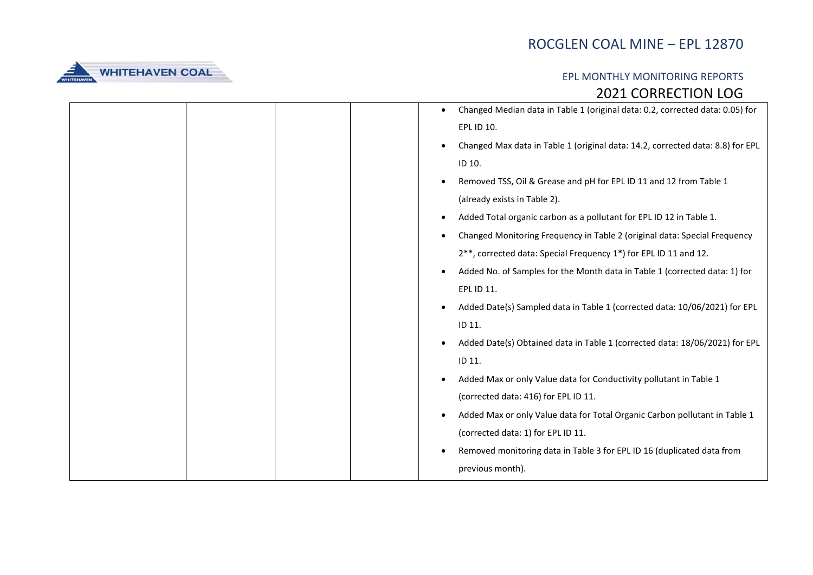

|  |  | Changed Median data in Table 1 (original data: 0.2, corrected data: 0.05) for  |
|--|--|--------------------------------------------------------------------------------|
|  |  | EPL ID 10.                                                                     |
|  |  | Changed Max data in Table 1 (original data: 14.2, corrected data: 8.8) for EPL |
|  |  | ID 10.                                                                         |
|  |  | Removed TSS, Oil & Grease and pH for EPL ID 11 and 12 from Table 1             |
|  |  | (already exists in Table 2).                                                   |
|  |  | Added Total organic carbon as a pollutant for EPL ID 12 in Table 1.            |
|  |  | Changed Monitoring Frequency in Table 2 (original data: Special Frequency      |
|  |  | 2**, corrected data: Special Frequency 1*) for EPL ID 11 and 12.               |
|  |  | Added No. of Samples for the Month data in Table 1 (corrected data: 1) for     |
|  |  | EPL ID 11.                                                                     |
|  |  | Added Date(s) Sampled data in Table 1 (corrected data: 10/06/2021) for EPL     |
|  |  | ID 11.                                                                         |
|  |  | Added Date(s) Obtained data in Table 1 (corrected data: 18/06/2021) for EPL    |
|  |  | ID 11.                                                                         |
|  |  | Added Max or only Value data for Conductivity pollutant in Table 1             |
|  |  | (corrected data: 416) for EPL ID 11.                                           |
|  |  | Added Max or only Value data for Total Organic Carbon pollutant in Table 1     |
|  |  | (corrected data: 1) for EPL ID 11.                                             |
|  |  | Removed monitoring data in Table 3 for EPL ID 16 (duplicated data from         |
|  |  | previous month).                                                               |
|  |  |                                                                                |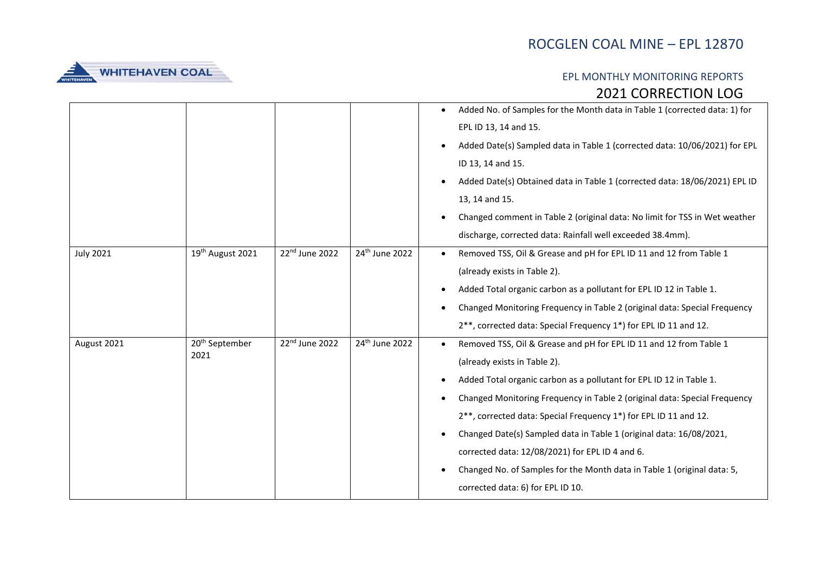

|                  |                                    |                |                | Added No. of Samples for the Month data in Table 1 (corrected data: 1) for<br>EPL ID 13, 14 and 15.<br>Added Date(s) Sampled data in Table 1 (corrected data: 10/06/2021) for EPL<br>ID 13, 14 and 15.<br>Added Date(s) Obtained data in Table 1 (corrected data: 18/06/2021) EPL ID<br>13, 14 and 15.<br>Changed comment in Table 2 (original data: No limit for TSS in Wet weather<br>discharge, corrected data: Rainfall well exceeded 38.4mm).                                                                                                                                             |
|------------------|------------------------------------|----------------|----------------|------------------------------------------------------------------------------------------------------------------------------------------------------------------------------------------------------------------------------------------------------------------------------------------------------------------------------------------------------------------------------------------------------------------------------------------------------------------------------------------------------------------------------------------------------------------------------------------------|
| <b>July 2021</b> | 19th August 2021                   | 22nd June 2022 | 24th June 2022 | Removed TSS, Oil & Grease and pH for EPL ID 11 and 12 from Table 1<br>$\bullet$<br>(already exists in Table 2).<br>Added Total organic carbon as a pollutant for EPL ID 12 in Table 1.<br>Changed Monitoring Frequency in Table 2 (original data: Special Frequency<br>2**, corrected data: Special Frequency 1*) for EPL ID 11 and 12.                                                                                                                                                                                                                                                        |
| August 2021      | 20 <sup>th</sup> September<br>2021 | 22nd June 2022 | 24th June 2022 | Removed TSS, Oil & Grease and pH for EPL ID 11 and 12 from Table 1<br>(already exists in Table 2).<br>Added Total organic carbon as a pollutant for EPL ID 12 in Table 1.<br>Changed Monitoring Frequency in Table 2 (original data: Special Frequency<br>2 <sup>**</sup> , corrected data: Special Frequency 1 <sup>*</sup> ) for EPL ID 11 and 12.<br>Changed Date(s) Sampled data in Table 1 (original data: 16/08/2021,<br>corrected data: 12/08/2021) for EPL ID 4 and 6.<br>Changed No. of Samples for the Month data in Table 1 (original data: 5,<br>corrected data: 6) for EPL ID 10. |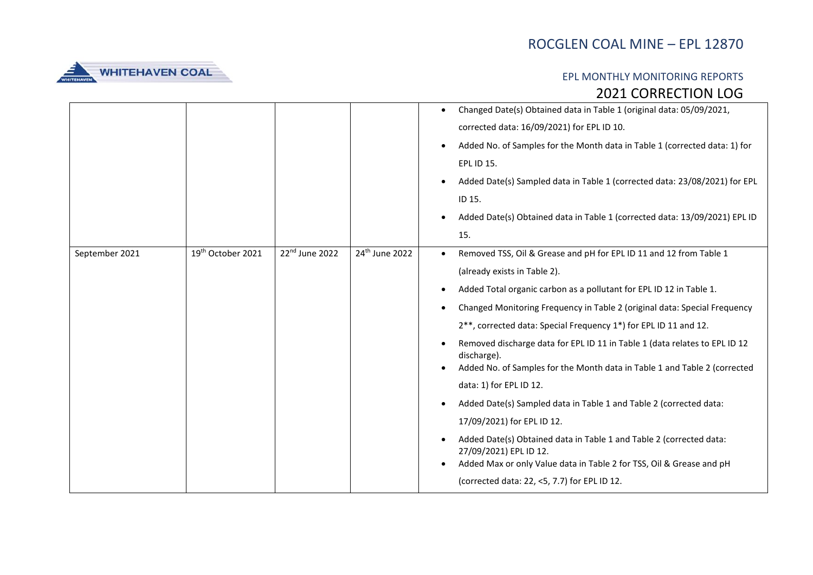

|                |                   |                |                | Changed Date(s) Obtained data in Table 1 (original data: 05/09/2021,<br>corrected data: 16/09/2021) for EPL ID 10.<br>Added No. of Samples for the Month data in Table 1 (corrected data: 1) for<br><b>EPL ID 15.</b><br>Added Date(s) Sampled data in Table 1 (corrected data: 23/08/2021) for EPL<br>ID 15.<br>Added Date(s) Obtained data in Table 1 (corrected data: 13/09/2021) EPL ID<br>15.                                                                                                                                                                                                                                                                                                                                                                                                                                                           |
|----------------|-------------------|----------------|----------------|--------------------------------------------------------------------------------------------------------------------------------------------------------------------------------------------------------------------------------------------------------------------------------------------------------------------------------------------------------------------------------------------------------------------------------------------------------------------------------------------------------------------------------------------------------------------------------------------------------------------------------------------------------------------------------------------------------------------------------------------------------------------------------------------------------------------------------------------------------------|
| September 2021 | 19th October 2021 | 22nd June 2022 | 24th June 2022 | Removed TSS, Oil & Grease and pH for EPL ID 11 and 12 from Table 1<br>(already exists in Table 2).<br>Added Total organic carbon as a pollutant for EPL ID 12 in Table 1.<br>Changed Monitoring Frequency in Table 2 (original data: Special Frequency<br>2**, corrected data: Special Frequency 1*) for EPL ID 11 and 12.<br>Removed discharge data for EPL ID 11 in Table 1 (data relates to EPL ID 12<br>discharge).<br>Added No. of Samples for the Month data in Table 1 and Table 2 (corrected<br>data: 1) for EPL ID 12.<br>Added Date(s) Sampled data in Table 1 and Table 2 (corrected data:<br>17/09/2021) for EPL ID 12.<br>Added Date(s) Obtained data in Table 1 and Table 2 (corrected data:<br>27/09/2021) EPL ID 12.<br>Added Max or only Value data in Table 2 for TSS, Oil & Grease and pH<br>(corrected data: 22, <5, 7.7) for EPL ID 12. |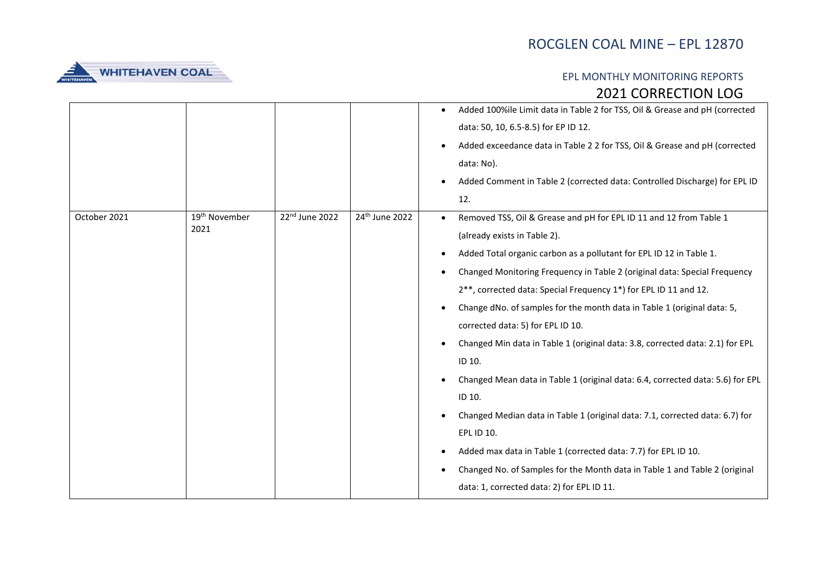

|              |                           |                |                            | Added 100%ile Limit data in Table 2 for TSS, Oil & Grease and pH (corrected    |
|--------------|---------------------------|----------------|----------------------------|--------------------------------------------------------------------------------|
|              |                           |                |                            | data: 50, 10, 6.5-8.5) for EP ID 12.                                           |
|              |                           |                |                            | Added exceedance data in Table 2 2 for TSS, Oil & Grease and pH (corrected     |
|              |                           |                |                            | data: No).                                                                     |
|              |                           |                |                            | Added Comment in Table 2 (corrected data: Controlled Discharge) for EPL ID     |
|              |                           |                |                            | 12.                                                                            |
| October 2021 | 19 <sup>th</sup> November | 22nd June 2022 | 24 <sup>th</sup> June 2022 | Removed TSS, Oil & Grease and pH for EPL ID 11 and 12 from Table 1             |
|              | 2021                      |                |                            | (already exists in Table 2).                                                   |
|              |                           |                |                            | Added Total organic carbon as a pollutant for EPL ID 12 in Table 1.            |
|              |                           |                |                            | Changed Monitoring Frequency in Table 2 (original data: Special Frequency      |
|              |                           |                |                            | 2**, corrected data: Special Frequency 1*) for EPL ID 11 and 12.               |
|              |                           |                |                            | Change dNo. of samples for the month data in Table 1 (original data: 5,        |
|              |                           |                |                            | corrected data: 5) for EPL ID 10.                                              |
|              |                           |                |                            | Changed Min data in Table 1 (original data: 3.8, corrected data: 2.1) for EPL  |
|              |                           |                |                            | ID 10.                                                                         |
|              |                           |                |                            | Changed Mean data in Table 1 (original data: 6.4, corrected data: 5.6) for EPL |
|              |                           |                |                            | ID 10.                                                                         |
|              |                           |                |                            | Changed Median data in Table 1 (original data: 7.1, corrected data: 6.7) for   |
|              |                           |                |                            | EPL ID 10.                                                                     |
|              |                           |                |                            | Added max data in Table 1 (corrected data: 7.7) for EPL ID 10.                 |
|              |                           |                |                            | Changed No. of Samples for the Month data in Table 1 and Table 2 (original     |
|              |                           |                |                            | data: 1, corrected data: 2) for EPL ID 11.                                     |
|              |                           |                |                            |                                                                                |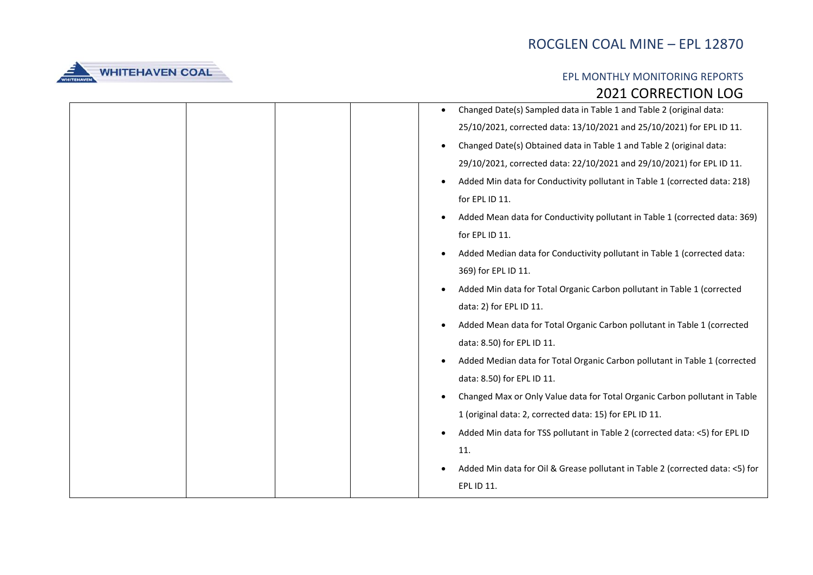

|  |  | Changed Date(s) Sampled data in Table 1 and Table 2 (original data:           |
|--|--|-------------------------------------------------------------------------------|
|  |  | 25/10/2021, corrected data: 13/10/2021 and 25/10/2021) for EPL ID 11.         |
|  |  | Changed Date(s) Obtained data in Table 1 and Table 2 (original data:          |
|  |  | 29/10/2021, corrected data: 22/10/2021 and 29/10/2021) for EPL ID 11.         |
|  |  | Added Min data for Conductivity pollutant in Table 1 (corrected data: 218)    |
|  |  | for EPL ID 11.                                                                |
|  |  | Added Mean data for Conductivity pollutant in Table 1 (corrected data: 369)   |
|  |  | for EPL ID 11.                                                                |
|  |  | Added Median data for Conductivity pollutant in Table 1 (corrected data:      |
|  |  | 369) for EPL ID 11.                                                           |
|  |  | Added Min data for Total Organic Carbon pollutant in Table 1 (corrected       |
|  |  | data: 2) for EPL ID 11.                                                       |
|  |  | Added Mean data for Total Organic Carbon pollutant in Table 1 (corrected      |
|  |  | data: 8.50) for EPL ID 11.                                                    |
|  |  | Added Median data for Total Organic Carbon pollutant in Table 1 (corrected    |
|  |  | data: 8.50) for EPL ID 11.                                                    |
|  |  | Changed Max or Only Value data for Total Organic Carbon pollutant in Table    |
|  |  | 1 (original data: 2, corrected data: 15) for EPL ID 11.                       |
|  |  | Added Min data for TSS pollutant in Table 2 (corrected data: <5) for EPL ID   |
|  |  | 11.                                                                           |
|  |  | Added Min data for Oil & Grease pollutant in Table 2 (corrected data: <5) for |
|  |  | EPL ID 11.                                                                    |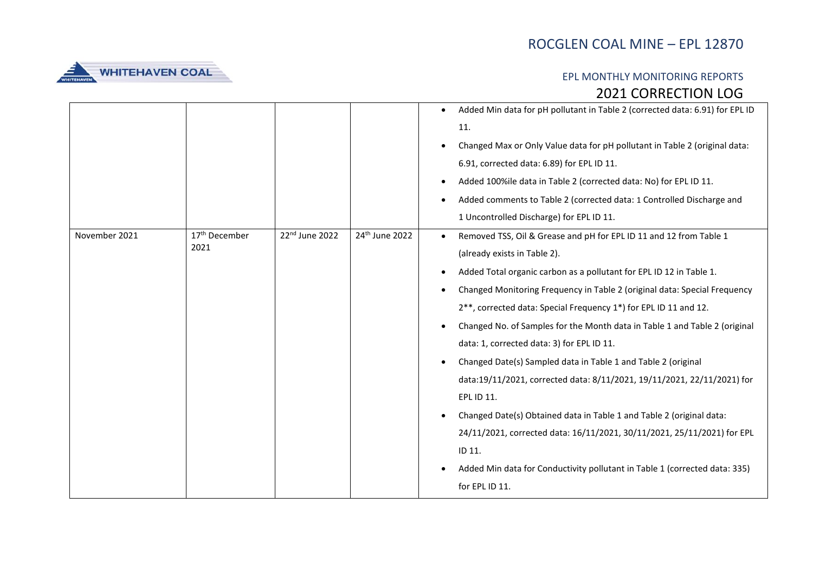

|               |                                   |                |                | Added Min data for pH pollutant in Table 2 (corrected data: 6.91) for EPL ID<br>$\bullet$<br>11.<br>Changed Max or Only Value data for pH pollutant in Table 2 (original data:<br>6.91, corrected data: 6.89) for EPL ID 11.<br>Added 100%ile data in Table 2 (corrected data: No) for EPL ID 11.<br>Added comments to Table 2 (corrected data: 1 Controlled Discharge and<br>1 Uncontrolled Discharge) for EPL ID 11.                                                                                                                                                                                                                                                                                                                                                                                                                                                        |
|---------------|-----------------------------------|----------------|----------------|-------------------------------------------------------------------------------------------------------------------------------------------------------------------------------------------------------------------------------------------------------------------------------------------------------------------------------------------------------------------------------------------------------------------------------------------------------------------------------------------------------------------------------------------------------------------------------------------------------------------------------------------------------------------------------------------------------------------------------------------------------------------------------------------------------------------------------------------------------------------------------|
| November 2021 | 17 <sup>th</sup> December<br>2021 | 22nd June 2022 | 24th June 2022 | Removed TSS, Oil & Grease and pH for EPL ID 11 and 12 from Table 1<br>(already exists in Table 2).<br>Added Total organic carbon as a pollutant for EPL ID 12 in Table 1.<br>Changed Monitoring Frequency in Table 2 (original data: Special Frequency<br>2**, corrected data: Special Frequency 1*) for EPL ID 11 and 12.<br>Changed No. of Samples for the Month data in Table 1 and Table 2 (original<br>data: 1, corrected data: 3) for EPL ID 11.<br>Changed Date(s) Sampled data in Table 1 and Table 2 (original<br>data:19/11/2021, corrected data: 8/11/2021, 19/11/2021, 22/11/2021) for<br>EPL ID 11.<br>Changed Date(s) Obtained data in Table 1 and Table 2 (original data:<br>24/11/2021, corrected data: 16/11/2021, 30/11/2021, 25/11/2021) for EPL<br>ID 11.<br>Added Min data for Conductivity pollutant in Table 1 (corrected data: 335)<br>for EPL ID 11. |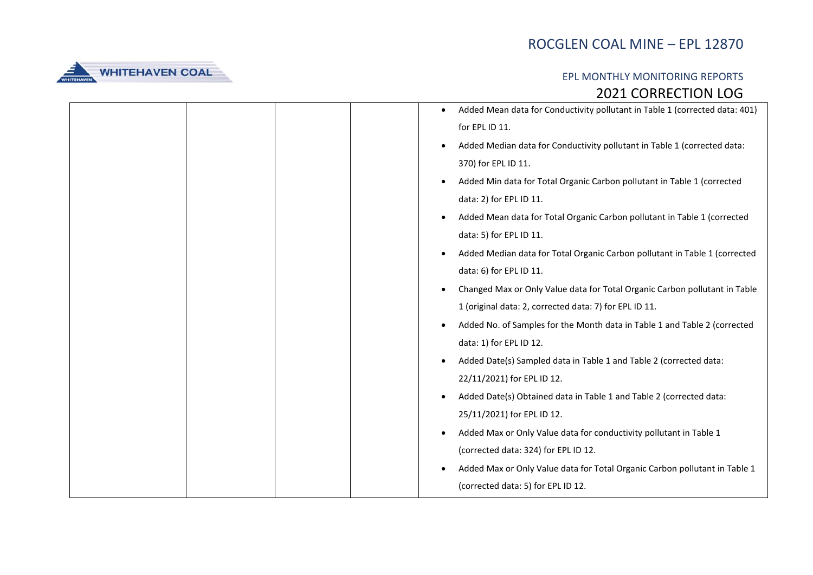

|  |  | Added Mean data for Conductivity pollutant in Table 1 (corrected data: 401) |
|--|--|-----------------------------------------------------------------------------|
|  |  | for EPL ID 11.                                                              |
|  |  | Added Median data for Conductivity pollutant in Table 1 (corrected data:    |
|  |  | 370) for EPL ID 11.                                                         |
|  |  | Added Min data for Total Organic Carbon pollutant in Table 1 (corrected     |
|  |  | data: 2) for EPL ID 11.                                                     |
|  |  | Added Mean data for Total Organic Carbon pollutant in Table 1 (corrected    |
|  |  | data: 5) for EPL ID 11.                                                     |
|  |  | Added Median data for Total Organic Carbon pollutant in Table 1 (corrected  |
|  |  | data: 6) for EPL ID 11.                                                     |
|  |  | Changed Max or Only Value data for Total Organic Carbon pollutant in Table  |
|  |  | 1 (original data: 2, corrected data: 7) for EPL ID 11.                      |
|  |  | Added No. of Samples for the Month data in Table 1 and Table 2 (corrected   |
|  |  | data: 1) for EPL ID 12.                                                     |
|  |  | Added Date(s) Sampled data in Table 1 and Table 2 (corrected data:          |
|  |  | 22/11/2021) for EPL ID 12.                                                  |
|  |  | Added Date(s) Obtained data in Table 1 and Table 2 (corrected data:         |
|  |  | 25/11/2021) for EPL ID 12.                                                  |
|  |  | Added Max or Only Value data for conductivity pollutant in Table 1          |
|  |  | (corrected data: 324) for EPL ID 12.                                        |
|  |  | Added Max or Only Value data for Total Organic Carbon pollutant in Table 1  |
|  |  | (corrected data: 5) for EPL ID 12.                                          |
|  |  |                                                                             |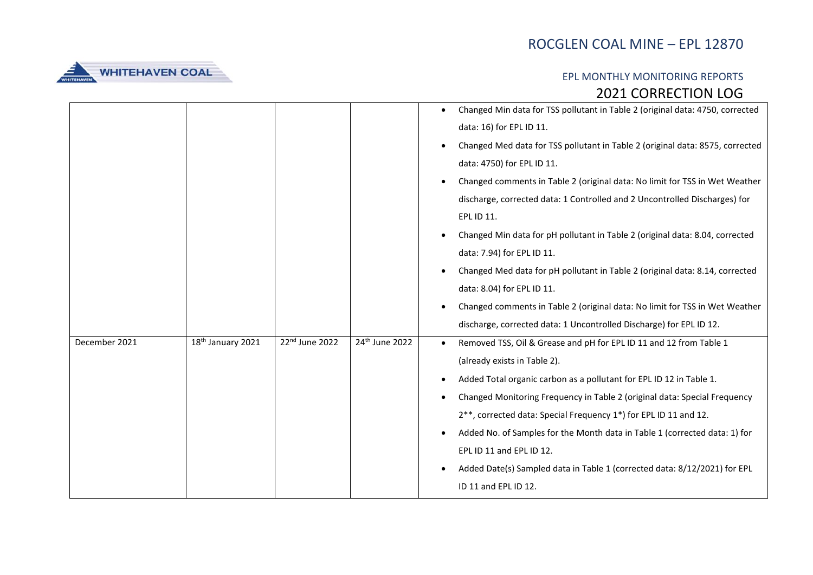

|               |                               |                |                | Changed Min data for TSS pollutant in Table 2 (original data: 4750, corrected |
|---------------|-------------------------------|----------------|----------------|-------------------------------------------------------------------------------|
|               |                               |                |                | data: 16) for EPL ID 11.                                                      |
|               |                               |                |                | Changed Med data for TSS pollutant in Table 2 (original data: 8575, corrected |
|               |                               |                |                | data: 4750) for EPL ID 11.                                                    |
|               |                               |                |                | Changed comments in Table 2 (original data: No limit for TSS in Wet Weather   |
|               |                               |                |                | discharge, corrected data: 1 Controlled and 2 Uncontrolled Discharges) for    |
|               |                               |                |                | EPL ID 11.                                                                    |
|               |                               |                |                | Changed Min data for pH pollutant in Table 2 (original data: 8.04, corrected  |
|               |                               |                |                | data: 7.94) for EPL ID 11.                                                    |
|               |                               |                |                | Changed Med data for pH pollutant in Table 2 (original data: 8.14, corrected  |
|               |                               |                |                | data: 8.04) for EPL ID 11.                                                    |
|               |                               |                |                | Changed comments in Table 2 (original data: No limit for TSS in Wet Weather   |
|               |                               |                |                | discharge, corrected data: 1 Uncontrolled Discharge) for EPL ID 12.           |
| December 2021 | 18 <sup>th</sup> January 2021 | 22nd June 2022 | 24th June 2022 | Removed TSS, Oil & Grease and pH for EPL ID 11 and 12 from Table 1            |
|               |                               |                |                | (already exists in Table 2).                                                  |
|               |                               |                |                | Added Total organic carbon as a pollutant for EPL ID 12 in Table 1.           |
|               |                               |                |                | Changed Monitoring Frequency in Table 2 (original data: Special Frequency     |
|               |                               |                |                | 2**, corrected data: Special Frequency 1*) for EPL ID 11 and 12.              |
|               |                               |                |                | Added No. of Samples for the Month data in Table 1 (corrected data: 1) for    |
|               |                               |                |                | EPL ID 11 and EPL ID 12.                                                      |
|               |                               |                |                | Added Date(s) Sampled data in Table 1 (corrected data: 8/12/2021) for EPL     |
|               |                               |                |                | ID 11 and EPL ID 12.                                                          |